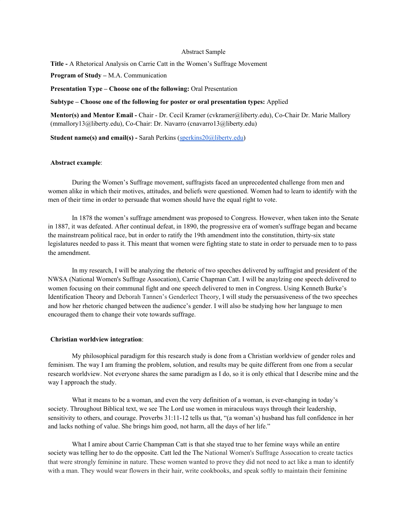## Abstract Sample

**Title -** A Rhetorical Analysis on Carrie Catt in the Women's Suffrage Movement

**Program of Study –** M.A. Communication

**Presentation Type – Choose one of the following:** Oral Presentation

## **Subtype – Choose one of the following for poster or oral presentation types:** Applied

**Mentor(s) and Mentor Email -** Chair - Dr. Cecil Kramer (cvkramer@liberty.edu), Co-Chair Dr. Marie Mallory (mmallory13@liberty.edu), Co-Chair: Dr. Navarro (cnavarro13@liberty.edu)

**Student name(s) and email(s) -** Sarah Perkins ([sperkins20@liberty.edu](mailto:sperkins20@liberty.edu))

## **Abstract example**:

During the Women's Suffrage movement, suffragists faced an unprecedented challenge from men and women alike in which their motives, attitudes, and beliefs were questioned. Women had to learn to identify with the men of their time in order to persuade that women should have the equal right to vote.

In 1878 the women's suffrage amendment was proposed to Congress. However, when taken into the Senate in 1887, it was defeated. After continual defeat, in 1890, the progressive era of women's suffrage began and became the mainstream political race, but in order to ratify the 19th amendment into the constitution, thirty-six state legislatures needed to pass it. This meant that women were fighting state to state in order to persuade men to to pass the amendment.

In my research, I will be analyzing the rhetoric of two speeches delivered by suffragist and president of the NWSA (National Women's Suffrage Assocation), Carrie Chapman Catt. I will be anaylzing one speech delivered to women focusing on their communal fight and one speech delivered to men in Congress. Using Kenneth Burke's Identification Theory and Deborah Tannen's Genderlect Theory, I will study the persuasiveness of the two speeches and how her rhetoric changed between the audience's gender. I will also be studying how her language to men encouraged them to change their vote towards suffrage.

## **Christian worldview integration**:

My philosophical paradigm for this research study is done from a Christian worldview of gender roles and feminism. The way I am framing the problem, solution, and results may be quite different from one from a secular research worldview. Not everyone shares the same paradigm as I do, so it is only ethical that I describe mine and the way I approach the study.

What it means to be a woman, and even the very definition of a woman, is ever-changing in today's society. Throughout Biblical text, we see The Lord use women in miraculous ways through their leadership, sensitivity to others, and courage. Proverbs 31:11-12 tells us that, "(a woman's) husband has full confidence in her and lacks nothing of value. She brings him good, not harm, all the days of her life."

What I amire about Carrie Champman Catt is that she stayed true to her femine ways while an entire society was telling her to do the opposite. Catt led the The National Women's Suffrage Assocation to create tactics that were strongly feminine in nature. These women wanted to prove they did not need to act like a man to identify with a man. They would wear flowers in their hair, write cookbooks, and speak softly to maintain their feminine